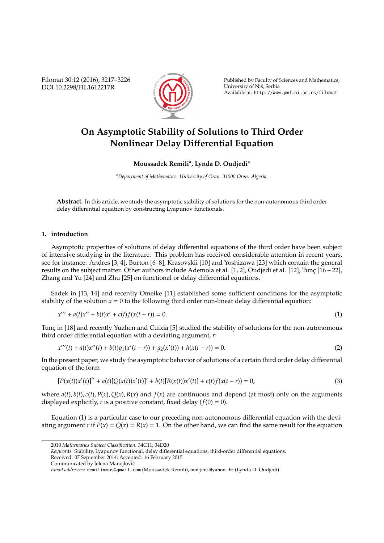Filomat 30:12 (2016), 3217–3226 DOI 10.2298/FIL1612217R



Published by Faculty of Sciences and Mathematics, University of Niš, Serbia Available at: http://www.pmf.ni.ac.rs/filomat

# **On Asymptotic Stability of Solutions to Third Order Nonlinear Delay Di**ff**erential Equation**

## **Moussadek Remili<sup>a</sup> , Lynda D. Oudjedi<sup>a</sup>**

*<sup>a</sup>Department of Mathematics. University of Oran. 31000 Oran. Algeria.*

**Abstract.** In this article, we study the asymptotic stability of solutions for the non-autonomous third order delay differential equation by constructing Lyapunov functionals.

#### **1. introduction**

Asymptotic properties of solutions of delay differential equations of the third order have been subject of intensive studying in the literature. This problem has received considerable attention in recent years, see for instance: Andres [3, 4], Burton [6–8], Krasovskii [10] and Yoshizawa [23] which contain the general results on the subject matter. Other authors include Ademola et al. [1, 2], Oudjedi et al. [12], Tunç [16 - 22], Zhang and Yu [24] and Zhu [25] on functional or delay differential equations.

Sadek in [13, 14] and recently Omeike [11] established some sufficient conditions for the asymptotic stability of the solution  $x = 0$  to the following third order non-linear delay differential equation:

$$
x''' + a(t)x'' + b(t)x' + c(t)f(x(t-r)) = 0.
$$
\n(1)

Tunc in [18] and recently Yuzhen and Cuixia [5] studied the stability of solutions for the non-autonomous third order differential equation with a deviating argument, *r*:

$$
x'''(t) + a(t)x''(t) + b(t)g_1(x'(t-r)) + g_2(x'(t)) + h(x(t-r)) = 0.
$$
\n(2)

In the present paper, we study the asymptotic behavior of solutions of a certain third order delay differential equation of the form

$$
[P(x(t))x'(t)]'' + a(t)[Q(x(t))x'(t)]' + b(t)[R(x(t))x'(t)] + c(t)f(x(t-r)) = 0,
$$
\n(3)

where  $a(t)$ ,  $b(t)$ ,  $c(t)$ ,  $P(x)$ ,  $Q(x)$ ,  $R(x)$  and  $f(x)$  are continuous and depend (at most) only on the arguments displayed explicitly, *r* is a positive constant, fixed delay  $(f(0) = 0)$ .

Equation (1) is a particular case to our preceding non-autonomous differential equation with the deviating argument *r* if  $P(x) = Q(x) = R(x) = 1$ . On the other hand, we can find the same result for the equation

*Keywords*. Stability, Lyapunov functional, delay differential equations, third-order differential equations. Received: 07 September 2014; Accepted: 16 February 2015

<sup>2010</sup> *Mathematics Subject Classification*. 34C11; 34D20

Communicated by Jelena Manojlovic´

*Email addresses:* remilimous@gmail.com (Moussadek Remili), oudjedi@yahoo.fr (Lynda D. Oudjedi)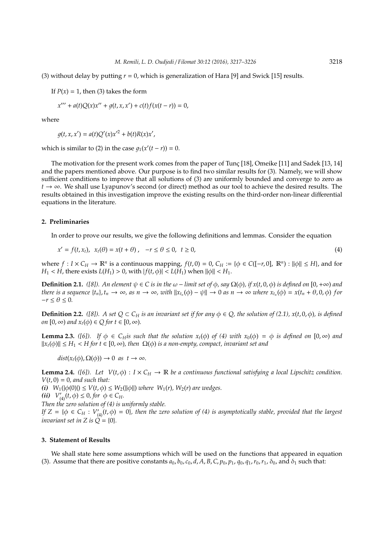(3) without delay by putting *r* = 0, which is generalization of Hara [9] and Swick [15] results.

If  $P(x) = 1$ , then (3) takes the form

$$
x''' + a(t)Q(x)x'' + g(t, x, x') + c(t)f(x(t - r)) = 0,
$$

where

$$
g(t, x, x') = a(t)Q'(x)x'^2 + b(t)R(x)x',
$$

which is similar to (2) in the case  $g_1(x'(t - r)) = 0$ .

The motivation for the present work comes from the paper of Tunç [18], Omeike [11] and Sadek [13, 14] and the papers mentioned above. Our purpose is to find two similar results for (3). Namely, we will show sufficient conditions to improve that all solutions of (3) are uniformly bounded and converge to zero as *t* → ∞. We shall use Lyapunov's second (or direct) method as our tool to achieve the desired results. The results obtained in this investigation improve the existing results on the third-order non-linear differential equations in the literature.

## **2. Preliminaries**

In order to prove our results, we give the following definitions and lemmas. Consider the equation

$$
x' = f(t, x_t), \quad x_t(\theta) = x(t + \theta), \quad -r \le \theta \le 0, \quad t \ge 0,
$$
\n
$$
(4)
$$

where  $f: I \times C_H \to \mathbb{R}^n$  is a continuous mapping,  $f(t, 0) = 0$ ,  $C_H := \{\phi \in C([-r, 0], \mathbb{R}^n) : ||\phi|| \leq H\}$ , and for  $H_1 < H$ , there exists  $L(H_1) > 0$ , with  $|f(t, \phi)| < L(H_1)$  when  $\|\phi\| < H_1$ .

**Definition 2.1.** *([8]). An element*  $\psi \in C$  *is in the*  $\omega$  – *limit set* of  $\phi$ *, say*  $\Omega(\phi)$ *, if*  $x(t, 0, \phi)$  *is defined on* [0,+∞) *and* there is a sequence  $\{t_n\}$ ,  $t_n \to \infty$ , as  $n \to \infty$ , with  $||x_{t_n}(\phi) - \psi|| \to 0$  as  $n \to \infty$  where  $x_{t_n}(\phi) = x(t_n + \theta, 0, \phi)$  for  $-r \leq \theta \leq 0$ .

**Definition 2.2.** *([8]).* A set  $Q \subset C_H$  is an invariant set if for any  $\phi \in Q$ *, the solution of (2.1), x(t, 0,*  $\phi$ *), is defined on*  $[0, \infty)$  *and*  $x_t(\phi) \in Q$  *for*  $t \in [0, \infty)$ *.* 

**Lemma 2.3.** *(*[6]). If  $\phi \in C_H$ *is such that the solution*  $x_t(\phi)$  *of (4) with*  $x_0(\phi) = \phi$  *is defined on* [0, ∞) *and*  $||x_t(\phi)|| \leq H_1 < H$  for  $t \in [0, \infty)$ , then  $\Omega(\phi)$  is a non-empty, compact, invariant set and

 $dist(x_t(\phi), \Omega(\phi)) \to 0$  *as*  $t \to \infty$ .

**Lemma 2.4.** *([6]).* Let  $V(t, \phi) : I \times C_H \to \mathbb{R}$  be a continuous functional satisfying a local Lipschitz condition.  $V(t, 0) = 0$ , and such that:

*(i)*  $W_1(|\phi(0)|) \le V(t, \phi) \le W_2(||\phi||)$  *where*  $W_1(r)$ *,*  $W_2(r)$  *are wedges.* 

*(ii)*  $V'_{(4)}(t, \phi) \le 0$ , for  $\phi \in C_H$ .

*Then the zero solution of (4) is uniformly stable.*

*If*  $Z = \{ \phi \in C_H : V'_{(4)}(t, \phi) = 0 \}$ , then the zero solution of (4) is asymptotically stable, provided that the largest *invariant set in* Z *is*  $\hat{Q} = \{0\}$ *.* 

### **3. Statement of Results**

We shall state here some assumptions which will be used on the functions that appeared in equation (3). Assume that there are positive constants  $a_0$ ,  $b_0$ ,  $c_0$ ,  $d$ ,  $A$ ,  $B$ ,  $C$ ,  $p_0$ ,  $p_1$ ,  $q_0$ ,  $q_1$ ,  $r_0$ ,  $r_1$ ,  $\delta_0$ , and  $\delta_1$  such that: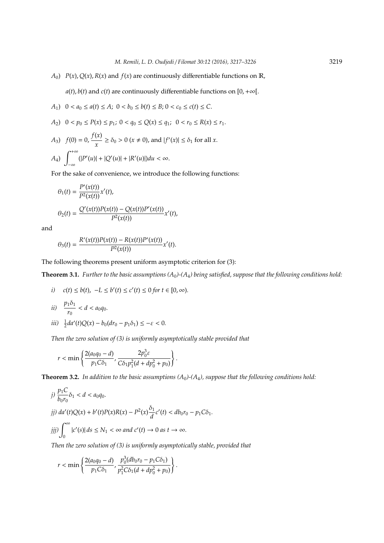*A*<sub>0</sub>) *P*(*x*), *Q*(*x*), *R*(*x*) and *f*(*x*) are continuously differentiable functions on R,

 $a(t)$ ,  $b(t)$  and  $c(t)$  are continuously differentiable functions on [0, +∞[.

$$
A_1) \quad 0 < a_0 \le a(t) \le A; \ 0 < b_0 \le b(t) \le B; \ 0 < c_0 \le c(t) \le C.
$$

$$
A_2) \quad 0 < p_0 \le P(x) \le p_1; \ 0 < q_0 \le Q(x) \le q_1; \ 0 < r_0 \le R(x) \le r_1.
$$

A<sub>3</sub>) 
$$
f(0) = 0, \frac{f(x)}{x} \ge \delta_0 > 0 \ (x \ne 0), \text{ and } |f'(x)| \le \delta_1 \text{ for all } x.
$$

$$
A_4) \int_{-\infty} (|P'(u)| + |Q'(u)| + |R'(u)|) du < \infty.
$$

*f*(*x*)

For the sake of convenience, we introduce the following functions:

$$
\theta_1(t) = \frac{P'(x(t))}{P^2(x(t))} x'(t),
$$
  
\n
$$
\theta_2(t) = \frac{Q'(x(t))P(x(t)) - Q(x(t))P'(x(t))}{P^2(x(t))} x'(t),
$$

and

$$
\theta_3(t) = \frac{R'(x(t))P(x(t)) - R(x(t))P'(x(t))}{P^2(x(t))}x'(t).
$$

The following theorems present uniform asymptotic criterion for (3):

**Theorem 3.1.** *Further to the basic assumptions (A*0*)-(A*4*) being satisfied, suppose that the following conditions hold:*

i) 
$$
c(t) \leq b(t)
$$
,  $-L \leq b'(t) \leq c'(t) \leq 0$  for  $t \in [0, \infty)$ .

- *ii*)  $\frac{p_1\delta_1}{p_1}$  $\frac{1}{r_0} < d < a_0 q_0$ .
- *iii*)  $\frac{1}{2}da'(t)Q(x) b_0(dr_0 p_1\delta_1) \leq -\varepsilon < 0.$

*Then the zero solution of (3) is uniformly asymptotically stable provided that*

$$
r < \min\left\{\frac{2(a_0q_0 - d)}{p_1C\delta_1}, \frac{2p_0^3\varepsilon}{C\delta_1p_1^2(d + dp_0^2 + p_0)}\right\}.
$$

**Theorem 3.2.** *In addition to the basic assumptions (A*0*)-(A*4*), suppose that the following conditions hold:*

$$
j) \frac{p_1 C}{b_0 r_0} \delta_1 < d < a_0 q_0.
$$
\n
$$
j j) \, da'(t) Q(x) + b'(t) P(x) R(x) - P^2(x) \frac{\delta_1}{d} c'(t) < db_0 r_0 - p_1 C \delta_1.
$$
\n
$$
j j j) \int_0^\infty |c'(s)| \, ds \le N_1 < \infty \, and \, c'(t) \to 0 \, as \, t \to \infty.
$$

*Then the zero solution of (3) is uniformly asymptotically stable, provided that*

$$
r < \min\left\{\frac{2(a_0q_0-d)}{p_1C\delta_1}, \frac{p_0^3(db_0r_0-p_1C\delta_1)}{p_1^2C\delta_1(d+dp_0^2+p_0)}\right\}.
$$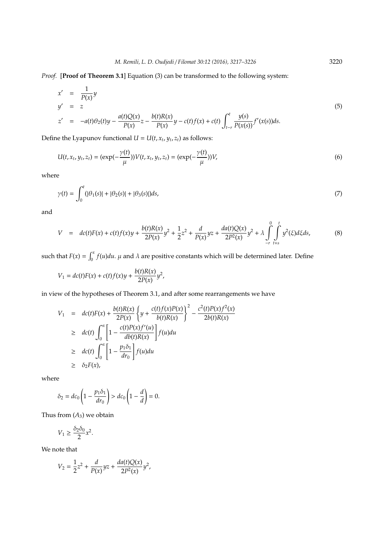*t*−*r*

*Proof.* [**Proof of Theorem 3.1**] Equation (3) can be transformed to the following system:

$$
x' = \frac{1}{P(x)}y
$$
  
\n
$$
y' = z
$$
  
\n
$$
z' = -a(t)\theta_2(t)y - \frac{a(t)Q(x)}{P(x)}z - \frac{b(t)R(x)}{P(x)}y - c(t)f(x) + c(t)\int_{t-r}^{t} \frac{y(s)}{P(x(s))}f'(x(s))ds.
$$
\n(5)

Define the Lyapunov functional  $U = U(t, x_t, y_t, z_t)$  as follows:

$$
U(t, x_t, y_t, z_t) = (\exp(-\frac{\gamma(t)}{\mu}))V(t, x_t, y_t, z_t) = (\exp(-\frac{\gamma(t)}{\mu}))V,
$$
\n(6)

where

$$
\gamma(t) = \int_0^t (|\theta_1(s)| + |\theta_2(s)| + |\theta_3(s)|)ds,\tag{7}
$$

and

$$
V = dc(t)F(x) + c(t)f(x)y + \frac{b(t)R(x)}{2P(x)}y^{2} + \frac{1}{2}z^{2} + \frac{d}{P(x)}yz + \frac{da(t)Q(x)}{2P^{2}(x)}y^{2} + \lambda \int_{-r}^{0} \int_{t+s}^{t} y^{2}(\xi)d\xi ds,
$$
 (8)

such that  $F(x) = \int_0^x f(u)du$ .  $\mu$  and  $\lambda$  are positive constants which will be determined later. Define

$$
V_1 = dc(t)F(x) + c(t)f(x)y + \frac{b(t)R(x)}{2P(x)}y^2,
$$

in view of the hypotheses of Theorem 3.1, and after some rearrangements we have

$$
V_1 = dc(t)F(x) + \frac{b(t)R(x)}{2P(x)} \left\{ y + \frac{c(t)f(x)P(x)}{b(t)R(x)} \right\}^2 - \frac{c^2(t)P(x)f^2(x)}{2b(t)R(x)}
$$
  
\n
$$
\geq dc(t) \int_0^x \left[ 1 - \frac{c(t)P(x)f'(u)}{db(t)R(x)} \right] f(u) du
$$
  
\n
$$
\geq dc(t) \int_0^x \left[ 1 - \frac{p_1\delta_1}{dr_0} \right] f(u) du
$$
  
\n
$$
\geq \delta_2 F(x),
$$

where

$$
\delta_2 = dc_0 \left( 1 - \frac{p_1 \delta_1}{dr_0} \right) > dc_0 \left( 1 - \frac{d}{d} \right) = 0.
$$

Thus from  $(A_3)$  we obtain

$$
V_1 \ge \frac{\delta_2 \delta_0}{2} x^2.
$$

We note that

$$
V_2 = \frac{1}{2}z^2 + \frac{d}{P(x)}yz + \frac{da(t)Q(x)}{2P^2(x)}y^2,
$$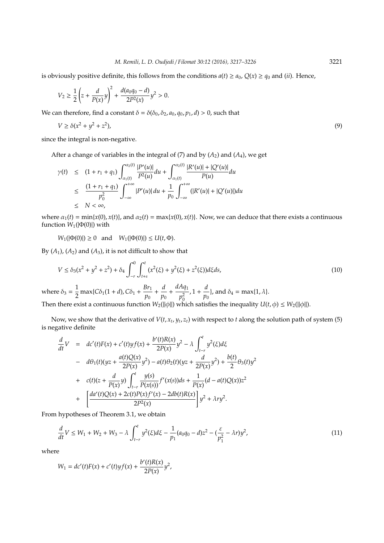is obviously positive definite, this follows from the conditions  $a(t) \ge a_0$ ,  $Q(x) \ge a_0$  and (*ii*). Hence,

$$
V_2 \ge \frac{1}{2} \left( z + \frac{d}{P(x)} y \right)^2 + \frac{d(a_0 q_0 - d)}{2P^2(x)} y^2 > 0.
$$

We can therefore, find a constant  $\delta = \delta(\delta_0, \delta_2, a_0, q_0, p_1, d) > 0$ , such that

$$
V \ge \delta(x^2 + y^2 + z^2),
$$
\n(9)

since the integral is non-negative.

After a change of variables in the integral of  $(7)$  and by  $(A_2)$  and  $(A_4)$ , we get

$$
\gamma(t) \leq (1 + r_1 + q_1) \int_{\alpha_1(t)}^{\alpha_2(t)} \frac{|P'(u)|}{P^2(u)} du + \int_{\alpha_1(t)}^{\alpha_2(t)} \frac{|R'(u)| + |Q'(u)|}{P(u)} du
$$
  
\n
$$
\leq \frac{(1 + r_1 + q_1)}{p_0^2} \int_{-\infty}^{+\infty} |P'(u)| du + \frac{1}{p_0} \int_{-\infty}^{+\infty} (|R'(u)| + |Q'(u)|) du
$$
  
\n
$$
\leq N < \infty,
$$

where  $\alpha_1(t) = \min\{x(0), x(t)\}\$ , and  $\alpha_2(t) = \max\{x(0), x(t)\}\$ . Now, we can deduce that there exists a continuous function  $W_1(|\Phi(0)|)$  with

 $W_1(|Φ(0)|) ≥ 0$  and  $W_1(|Φ(0)|) ≤ U(t,Φ).$ 

By  $(A_1)$ ,  $(A_2)$  and  $(A_3)$ , it is not difficult to show that

$$
V \le \delta_3(x^2 + y^2 + z^2) + \delta_4 \int_{-r}^{0} \int_{t+s}^{t} (x^2(\xi) + y^2(\xi) + z^2(\xi)) d\xi ds,
$$
\n(10)

where  $\delta_3 = \frac{1}{2}$  $\frac{1}{2}$  max{*C*δ<sub>1</sub>(1 + *d*), *C*δ<sub>1</sub> +  $\frac{Br_1}{p_0}$  $\frac{Br_1}{p_0} + \frac{d}{p_0}$  $\frac{d}{p_0} + \frac{dAq_1}{p_0^2}$  $p_0^2$  $, 1 + \frac{d}{dx}$  $\frac{u}{p_0}$ , and  $\delta_4 = \max\{1, \lambda\}.$ 

Then there exist a continuous function  $W_2(||\phi||)$  which satisfies the inequality  $U(t, \phi) \leq W_2(||\phi||)$ .

Now, we show that the derivative of  $V(t, x_t, y_t, z_t)$  with respect to  $t$  along the solution path of system (5) is negative definite

$$
\frac{d}{dt}V = dc'(t)F(x) + c'(t) yf(x) + \frac{b'(t)R(x)}{2P(x)}y^2 - \lambda \int_{t-r}^t y^2(\xi)d\xi
$$
  
\n
$$
= d\theta_1(t)(yz + \frac{a(t)Q(x)}{2P(x)}y^2) - a(t)\theta_2(t)(yz + \frac{d}{2P(x)}y^2) + \frac{b(t)}{2}\theta_3(t)y^2
$$
  
\n
$$
+ c(t)(z + \frac{d}{P(x)}y) \int_{t-r}^t \frac{y(s)}{P(x(s))}f'(x(s))ds + \frac{1}{P(x)}(d - a(t)Q(x))z^2
$$
  
\n
$$
+ \left[ \frac{da'(t)Q(x) + 2c(t)P(x)f'(x) - 2db(t)R(x)}{2P^2(x)} \right]y^2 + \lambda ry^2.
$$

From hypotheses of Theorem 3.1, we obtain

$$
\frac{d}{dt}V \le W_1 + W_2 + W_3 - \lambda \int_{t-r}^t y^2(\xi) d\xi - \frac{1}{p_1}(a_0 q_0 - d)z^2 - (\frac{\varepsilon}{p_1^2} - \lambda r)y^2,\tag{11}
$$

where

$$
W_1 = dc'(t)F(x) + c'(t)yf(x) + \frac{b'(t)R(x)}{2P(x)}y^2,
$$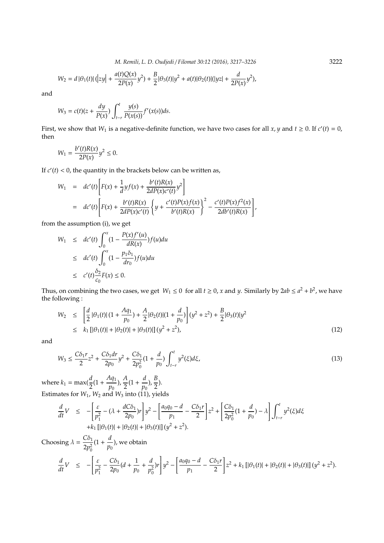*M. Remili, L. D. Oudjedi* / *Filomat 30:12 (2016), 3217–3226* 3222

$$
W_2 = d |\theta_1(t)| (|zy| + \frac{a(t)Q(x)}{2P(x)}y^2) + \frac{B}{2} |\theta_3(t)|y^2 + a(t)|\theta_2(t)| (|yz| + \frac{d}{2P(x)}y^2),
$$

and

$$
W_3 = c(t)(z + \frac{dy}{P(x)}) \int_{t-r}^t \frac{y(s)}{P(x(s))} f'(x(s)) ds.
$$

First, we show that  $W_1$  is a negative-definite function, we have two cases for all  $x, y$  and  $t \ge 0$ . If  $c'(t) = 0$ , then

$$
W_1 = \frac{b'(t)R(x)}{2P(x)}y^2 \le 0.
$$

If  $c'(t) < 0$ , the quantity in the brackets below can be written as,

$$
W_1 = dc'(t) \left[ F(x) + \frac{1}{d} y f(x) + \frac{b'(t)R(x)}{2dP(x)c'(t)} y^2 \right]
$$
  
=  $dc'(t) \left[ F(x) + \frac{b'(t)R(x)}{2dP(x)c'(t)} \left\{ y + \frac{c'(t)P(x)f(x)}{b'(t)R(x)} \right\}^2 - \frac{c'(t)P(x)f^2(x)}{2db'(t)R(x)} \right\},$ 

from the assumption (i), we get

$$
W_1 \leq dc'(t) \int_0^x (1 - \frac{P(x)f'(u)}{dR(x)}) f(u) du
$$
  
\n
$$
\leq dc'(t) \int_0^x (1 - \frac{p_1 \delta_1}{d r_0}) f(u) du
$$
  
\n
$$
\leq c'(t) \frac{\delta_2}{c_0} F(x) \leq 0.
$$

Thus, on combining the two cases, we get  $W_1 \le 0$  for all  $t \ge 0$ , *x* and *y*. Similarly by  $2ab \le a^2 + b^2$ , we have the following :

$$
W_2 \leq \left[ \frac{d}{2} |\theta_1(t)| (1 + \frac{A\eta_1}{p_0}) + \frac{A}{2} |\theta_2(t)| (1 + \frac{d}{p_0}) \right] (y^2 + z^2) + \frac{B}{2} |\theta_3(t)| y^2
$$
  
\n
$$
\leq k_1 [|\theta_1(t)| + |\theta_2(t)| + |\theta_3(t)|] (y^2 + z^2), \tag{12}
$$

and

$$
W_3 \le \frac{C\delta_1 r}{2} z^2 + \frac{C\delta_1 dr}{2p_0} y^2 + \frac{C\delta_1}{2p_0^2} (1 + \frac{d}{p_0}) \int_{t-r}^t y^2(\xi) d\xi,
$$
\n(13)

where  $k_1 = \max(\frac{d}{2}(1 + \frac{Aq_1}{p_0}))$  $\frac{4q_1}{p_0}$ ),  $\frac{A}{2}$  $\frac{A}{2}(1+\frac{d}{p_0})$  $\frac{d}{p_0}$ ),  $\frac{B}{2}$  $\frac{1}{2}$ ). Estimates for *W*1, *W*<sup>2</sup> and *W*<sup>3</sup> into (11), yields

$$
\frac{d}{dt}V \leq -\left[\frac{\varepsilon}{p_1^2} - (\lambda + \frac{dC\delta_1}{2p_0})r\right]y^2 - \left[\frac{a_0q_0 - d}{p_1} - \frac{C\delta_1r}{2}\right]z^2 + \left[\frac{C\delta_1}{2p_0^2}(1 + \frac{d}{p_0}) - \lambda\right]\int_{t-r}^t y^2(\xi)d\xi
$$
  
+  $k_1 \left[|\theta_1(t)| + |\theta_2(t)| + |\theta_3(t)|\right](y^2 + z^2).$ 

Choosing  $\lambda = \frac{C\delta_1}{2}$  $2p_0^2$  $(1 + \frac{d}{a})$  $\overset{\cdot \cdot }{p_{0}}$ ), we obtain *d* ſ ε 1 *d* 1 [ *a*0*q*<sup>0</sup> − *d*

$$
\frac{d}{dt}V \leq -\left[\frac{\varepsilon}{p_1^2} - \frac{C\delta_1}{2p_0}(d + \frac{1}{p_0} + \frac{d}{p_0^2})r\right]y^2 - \left[\frac{a_0q_0 - d}{p_1} - \frac{C\delta_1r}{2}\right]z^2 + k_1\left[|\theta_1(t)| + |\theta_2(t)| + |\theta_3(t)|\right](y^2 + z^2).
$$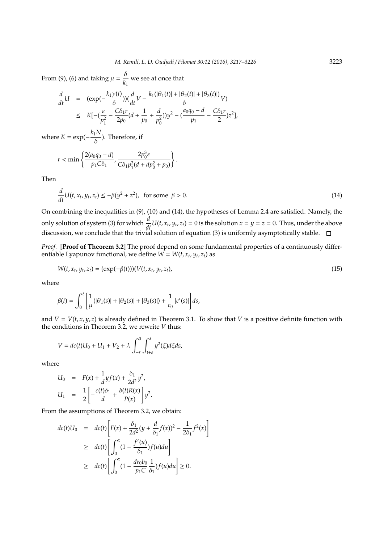From (9), (6) and taking  $\mu = \frac{\delta}{L}$  $\frac{1}{k_1}$  we see at once that

$$
\frac{d}{dt}U = (\exp(-\frac{k_1\gamma(t)}{\delta}))(\frac{d}{dt}V - \frac{k_1(|\theta_1(t)| + |\theta_2(t)| + |\theta_3(t)|)}{\delta}V)
$$
\n
$$
\leq K[-(\frac{\varepsilon}{p_1^2} - \frac{C\delta_1r}{2p_0}(d + \frac{1}{p_0} + \frac{d}{p_0^2}))y^2 - (\frac{a_0q_0 - d}{p_1} - \frac{C\delta_1r}{2})z^2],
$$

where  $K = \exp(-\frac{k_1 N}{s})$  $\frac{1}{\delta}$ ). Therefore, if

$$
r < \min\left\{\frac{2(a_0q_0 - d)}{p_1C\delta_1}, \frac{2p_0^3\varepsilon}{C\delta_1p_1^2(d + dp_0^2 + p_0)}\right\}.
$$

Then

$$
\frac{d}{dt}U(t, x_t, y_t, z_t) \le -\beta(y^2 + z^2), \text{ for some } \beta > 0.
$$
\n(14)

On combining the inequalities in (9), (10) and (14), the hypotheses of Lemma 2.4 are satisfied. Namely, the only solution of system (3) for which  $\frac{d}{dt}U(t, x_t, y_t, z_t) = 0$  is the solution  $x = y = z = 0$ . Thus, under the above discussion, we conclude that the trivial solution of equation (3) is uniformly asymptotically stable.

*Proof.* [**Proof of Theorem 3.2**] The proof depend on some fundamental properties of a continuously differentiable Lyapunov functional, we define  $W = W(t, x_t, y_t, z_t)$  as

$$
W(t, x_t, y_t, z_t) = (\exp(-\beta(t)))(V(t, x_t, y_t, z_t),
$$
\n(15)

where

$$
\beta(t) = \int_0^t \left[ \frac{1}{\mu} (|\theta_1(s)| + |\theta_2(s)| + |\theta_3(s)|) + \frac{1}{c_0} |c'(s)| \right] ds,
$$

and  $V = V(t, x, y, z)$  is already defined in Theorem 3.1. To show that *V* is a positive definite function with the conditions in Theorem 3.2, we rewrite *V* thus:

$$
V = dc(t)U_0 + U_1 + V_2 + \lambda \int_{-r}^{0} \int_{t+s}^{t} y^2(\xi) d\xi ds,
$$

where

$$
U_0 = F(x) + \frac{1}{d}y f(x) + \frac{\delta_1}{2d^2} y^2,
$$
  

$$
U_1 = \frac{1}{2} \left[ -\frac{c(t)\delta_1}{d} + \frac{b(t)R(x)}{P(x)} \right] y^2.
$$

From the assumptions of Theorem 3.2, we obtain:

$$
dc(t)U_0 = dc(t)\left[F(x) + \frac{\delta_1}{2d^2}(y + \frac{d}{\delta_1}f(x))^2 - \frac{1}{2\delta_1}f^2(x)\right]
$$
  
\n
$$
\geq dc(t)\left[\int_0^x (1 - \frac{f'(u)}{\delta_1})f(u)du\right]
$$
  
\n
$$
\geq dc(t)\left[\int_0^x (1 - \frac{dr_0b_0}{p_1C}\frac{1}{\delta_1})f(u)du\right] \geq 0.
$$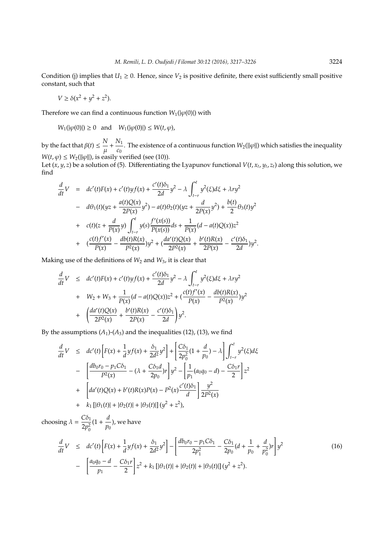Condition (j) implies that  $U_1 \geq 0$ . Hence, since  $V_2$  is positive definite, there exist sufficiently small positive constant, such that

$$
V \ge \delta(x^2 + y^2 + z^2).
$$

Therefore we can find a continuous function  $W_1(|\varphi(0)|)$  with

*W*<sub>1</sub>(| $\varphi$ (0)|) ≥ 0 and *W*<sub>1</sub>(| $\varphi$ (0)|) ≤ *W*(*t*,  $\varphi$ ),

by the fact that  $\beta(t) \leq \frac{N}{\mu}$  $\frac{N}{\mu} + \frac{N_1}{c_0}$  $\frac{v_1}{c_0}$ . The existence of a continuous function  $W_2(||\varphi||)$  which satisfies the inequality  $W(t, \varphi) \leq W_2(||\varphi||)$ , is easily verified (see (10)).

Let  $(x, y, z)$  be a solution of (5). Differentiating the Lyapunov functional  $V(t, x_t, y_t, z_t)$  along this solution, we find

$$
\frac{d}{dt}V = dc'(t)F(x) + c'(t) yf(x) + \frac{c'(t)\delta_1}{2d}y^2 - \lambda \int_{t-r}^t y^2(\xi)d\xi + \lambda ry^2
$$
  
\n
$$
= d\theta_1(t)(yz + \frac{a(t)Q(x)}{2P(x)}y^2) - a(t)\theta_2(t)(yz + \frac{d}{2P(x)}y^2) + \frac{b(t)}{2}\theta_3(t)y^2
$$
  
\n
$$
+ c(t)(z + \frac{d}{P(x)}y) \int_{t-r}^t y(s) \frac{f'(x(s))}{P(x(s))}ds + \frac{1}{P(x)}(d - a(t)Q(x))z^2
$$
  
\n
$$
+ (\frac{c(t)f'(x)}{P(x)} - \frac{db(t)R(x)}{P^2(x)})y^2 + (\frac{da'(t)Q(x)}{2P^2(x)} + \frac{b'(t)R(x)}{2P(x)} - \frac{c'(t)\delta_1}{2d})y^2.
$$

Making use of the definitions of *W*<sup>2</sup> and *W*3, it is clear that

$$
\frac{d}{dt}V \leq dc'(t)F(x) + c'(t) y f(x) + \frac{c'(t)\delta_1}{2d}y^2 - \lambda \int_{t-r}^t y^2(\xi)d\xi + \lambda r y^2
$$
  
+  $W_2 + W_3 + \frac{1}{P(x)}(d - a(t)Q(x))z^2 + (\frac{c(t)f'(x)}{P(x)} - \frac{db(t)R(x)}{P^2(x)})y^2$   
+  $\left(\frac{da'(t)Q(x)}{2P^2(x)} + \frac{b'(t)R(x)}{2P(x)} - \frac{c'(t)\delta_1}{2d}\right)y^2.$ 

By the assumptions  $(A_1)$ - $(A_3)$  and the inequalities (12), (13), we find

$$
\frac{d}{dt}V \leq dc'(t)\Big[F(x) + \frac{1}{d}yf(x) + \frac{\delta_1}{2d^2}y^2\Big] + \Big[\frac{C\delta_1}{2p_0^2}(1 + \frac{d}{p_0}) - \lambda\Big]\int_{t-r}^t y^2(\xi)d\xi
$$

$$
- \Big[\frac{db_0r_0 - p_1C\delta_1}{P^2(x)} - (\lambda + \frac{C\delta_1d}{2p_0})r\Big]y^2 - \Big[\frac{1}{p_1}(a_0q_0 - d) - \frac{C\delta_1r}{2}\Big]z^2
$$

$$
+ \Big[a d'(t)Q(x) + b'(t)R(x)P(x) - P^2(x)\frac{c'(t)\delta_1}{d}\Big]\frac{y^2}{2P^2(x)}
$$

$$
+ k_1\left[|\theta_1(t)| + |\theta_2(t)| + |\theta_3(t)|\right](y^2 + z^2),
$$

choosing  $\lambda = \frac{C\delta_1}{2}$  $2p_0^2$  $(1 + \frac{d}{n})$  $\frac{n}{p_0}$ ), we have

$$
\frac{d}{dt}V \leq dc'(t)\left[F(x) + \frac{1}{d}yf(x) + \frac{\delta_1}{2d^2}y^2\right] - \left[\frac{db_0r_0 - p_1C\delta_1}{2p_1^2} - \frac{C\delta_1}{2p_0}(d + \frac{1}{p_0} + \frac{d}{p_0^2})r\right]y^2
$$
\n
$$
-\left[\frac{a_0q_0 - d}{p_1} - \frac{C\delta_1r}{2}\right]z^2 + k_1\left[|\theta_1(t)| + |\theta_2(t)| + |\theta_3(t)|\right](y^2 + z^2).
$$
\n(16)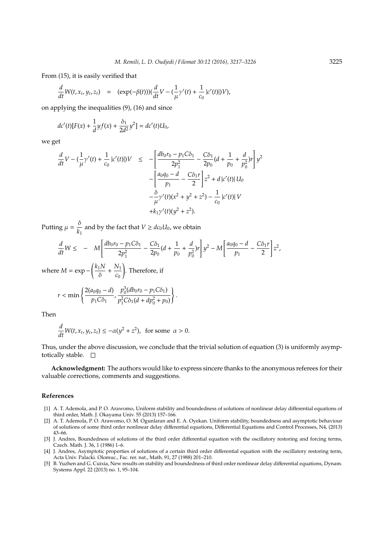From (15), it is easily verified that

$$
\frac{d}{dt}W(t, x_t, y_t, z_t) = (\exp(-\beta(t)))(\frac{d}{dt}V - (\frac{1}{\mu}\gamma'(t) + \frac{1}{c_0}|c'(t)|)V),
$$

on applying the inequalities (9), (16) and since

$$
dc'(t)[F(x) + \frac{1}{d}yf(x) + \frac{\delta_1}{2d^2}y^2] = dc'(t)U_0,
$$

we get

$$
\frac{d}{dt}V - \left(\frac{1}{\mu}\gamma'(t) + \frac{1}{c_0}|c'(t)|\right)V \le -\left[\frac{db_0r_0 - p_1C\delta_1}{2p_1^2} - \frac{C\delta_1}{2p_0}(d + \frac{1}{p_0} + \frac{d}{p_0^2})r\right]y^2 - \left[\frac{a_0q_0 - d}{p_1} - \frac{C\delta_1r}{2}\right]z^2 + d|c'(t)|U_0 - \frac{\delta}{\mu}\gamma'(t)(x^2 + y^2 + z^2) - \frac{1}{c_0}|c'(t)|V + k_1\gamma'(t)(y^2 + z^2).
$$

Putting  $\mu = \frac{\delta}{L}$  $\frac{\partial}{\partial k_1}$  and by the fact that  $V \geq dc_0U_0$ , we obtain

$$
\frac{d}{dt}W \leq -M \left[ \frac{db_0 r_0 - p_1 C \delta_1}{2p_1^2} - \frac{C \delta_1}{2p_0} (d + \frac{1}{p_0} + \frac{d}{p_0^2}) r \right] y^2 - M \left[ \frac{a_0 q_0 - d}{p_1} - \frac{C \delta_1 r}{2} \right] z^2,
$$

where  $M = \exp{-\left(\frac{k_1 N}{s}\right)}$  $\frac{1}{\delta}$  +  $\frac{N_1}{c_0}$ *c*0 . Therefore, if

$$
r < \min\left\{\frac{2(a_0q_0-d)}{p_1C\delta_1}, \frac{p_0^3(db_0r_0 - p_1C\delta_1)}{p_1^2C\delta_1(d+dp_0^2+p_0)}\right\}.
$$

Then

$$
\frac{d}{dt}W(t, x_t, y_t, z_t) \le -\alpha(y^2 + z^2), \text{ for some } \alpha > 0.
$$

Thus, under the above discussion, we conclude that the trivial solution of equation (3) is uniformly asymptotically stable.  $\square$ 

**Acknowledgment:** The authors would like to express sincere thanks to the anonymous referees for their valuable corrections, comments and suggestions.

#### **References**

- [1] A. T. Ademola, and P. O. Arawomo, Uniform stability and boundedness of solutions of nonlinear delay differential equations of third order, Math. J. Okayama Univ. 55 (2013) 157–166.
- [2] A. T. Ademola, P. O. Arawomo, O. M. Ogunlaran and E. A. Oyekan. Uniform stability, boundedness and asymptotic behaviour of solutions of some third order nonlinear delay differential equations, Differential Equations and Control Processes, N4, (2013) 43–66.
- [3] J. Andres, Boundedness of solutions of the third order differential equation with the oscillatory restoring and forcing terms, Czech. Math. J. 36, 1 (1986) 1–6.
- [4] J. Andres, Asymptotic properties of solutions of a certain third order differential equation with the oscillatory restoring term, Acta Univ. Palacki. Olomuc., Fac. rer. nat., Math. 91, 27 (1988) 201–210.
- [5] B. Yuzhen and G. Cuixia, New results on stability and boundedness of third order nonlinear delay differential equations, Dynam. Systems Appl. 22 (2013) no. 1, 95–104.